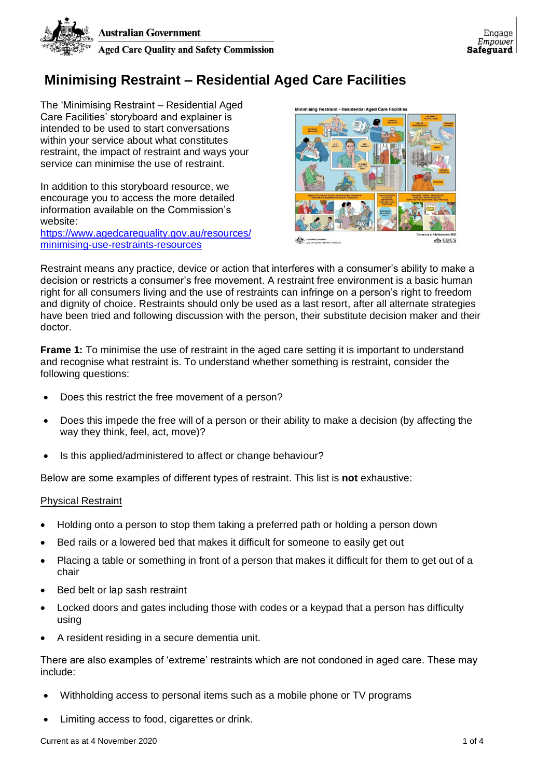

## **Minimising Restraint – Residential Aged Care Facilities**

The 'Minimising Restraint – Residential Aged Care Facilities' storyboard and explainer is intended to be used to start conversations within your service about what constitutes restraint, the impact of restraint and ways your service can minimise the use of restraint.

In addition to this storyboard resource, we encourage you to access the more detailed information available on the Commission's website:

[https://www.agedcarequality.gov.au/resources/](https://www.agedcarequality.gov.au/resources/minimising-use-restraints-resources) [minimising-use-restraints-resources](https://www.agedcarequality.gov.au/resources/minimising-use-restraints-resources)



Restraint means any practice, device or action that interferes with a consumer's ability to make a decision or restricts a consumer's free movement. A restraint free environment is a basic human right for all consumers living and the use of restraints can infringe on a person's right to freedom and dignity of choice. Restraints should only be used as a last resort, after all alternate strategies have been tried and following discussion with the person, their substitute decision maker and their doctor.

**Frame 1:** To minimise the use of restraint in the aged care setting it is important to understand and recognise what restraint is. To understand whether something is restraint, consider the following questions:

- Does this restrict the free movement of a person?
- Does this impede the free will of a person or their ability to make a decision (by affecting the way they think, feel, act, move)?
- Is this applied/administered to affect or change behaviour?

Below are some examples of different types of restraint. This list is **not** exhaustive:

## Physical Restraint

- Holding onto a person to stop them taking a preferred path or holding a person down
- Bed rails or a lowered bed that makes it difficult for someone to easily get out
- Placing a table or something in front of a person that makes it difficult for them to get out of a chair
- Bed belt or lap sash restraint
- Locked doors and gates including those with codes or a keypad that a person has difficulty using
- A resident residing in a secure dementia unit.

There are also examples of 'extreme' restraints which are not condoned in aged care. These may include:

- Withholding access to personal items such as a mobile phone or TV programs
- Limiting access to food, cigarettes or drink.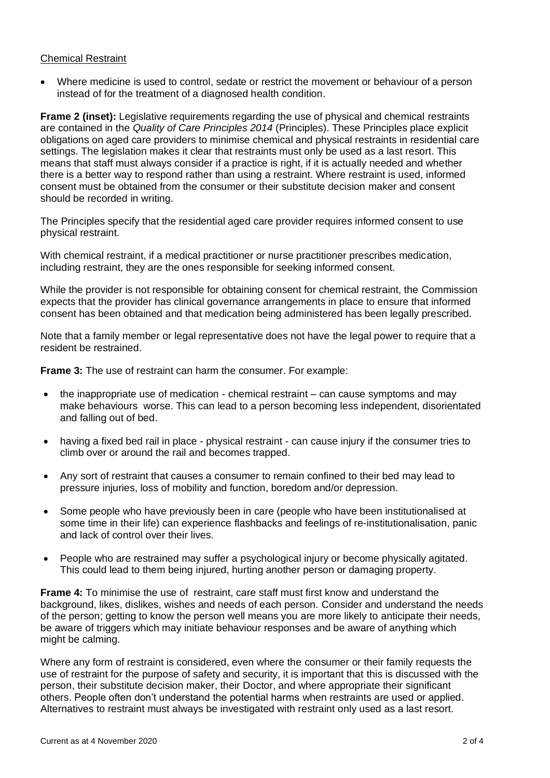## Chemical Restraint

• Where medicine is used to control, sedate or restrict the movement or behaviour of a person instead of for the treatment of a diagnosed health condition.

**Frame 2 (inset):** Legislative requirements regarding the use of physical and chemical restraints are contained in the *Quality of Care Principles 2014* (Principles). These Principles place explicit obligations on aged care providers to minimise chemical and physical restraints in residential care settings. The legislation makes it clear that restraints must only be used as a last resort. This means that staff must always consider if a practice is right, if it is actually needed and whether there is a better way to respond rather than using a restraint. Where restraint is used, informed consent must be obtained from the consumer or their substitute decision maker and consent should be recorded in writing.

The Principles specify that the residential aged care provider requires informed consent to use physical restraint.

With chemical restraint, if a medical practitioner or nurse practitioner prescribes medication, including restraint, they are the ones responsible for seeking informed consent.

While the provider is not responsible for obtaining consent for chemical restraint, the Commission expects that the provider has clinical governance arrangements in place to ensure that informed consent has been obtained and that medication being administered has been legally prescribed.

Note that a family member or legal representative does not have the legal power to require that a resident be restrained.

**Frame 3:** The use of restraint can harm the consumer. For example:

- the inappropriate use of medication chemical restraint can cause symptoms and may make behaviours worse. This can lead to a person becoming less independent, disorientated and falling out of bed.
- having a fixed bed rail in place physical restraint can cause injury if the consumer tries to climb over or around the rail and becomes trapped.
- Any sort of restraint that causes a consumer to remain confined to their bed may lead to pressure injuries, loss of mobility and function, boredom and/or depression.
- Some people who have previously been in care (people who have been institutionalised at some time in their life) can experience flashbacks and feelings of re-institutionalisation, panic and lack of control over their lives.
- People who are restrained may suffer a psychological injury or become physically agitated. This could lead to them being injured, hurting another person or damaging property.

**Frame 4:** To minimise the use of restraint, care staff must first know and understand the background, likes, dislikes, wishes and needs of each person. Consider and understand the needs of the person; getting to know the person well means you are more likely to anticipate their needs, be aware of triggers which may initiate behaviour responses and be aware of anything which might be calming.

Where any form of restraint is considered, even where the consumer or their family requests the use of restraint for the purpose of safety and security, it is important that this is discussed with the person, their substitute decision maker, their Doctor, and where appropriate their significant others. People often don't understand the potential harms when restraints are used or applied. Alternatives to restraint must always be investigated with restraint only used as a last resort.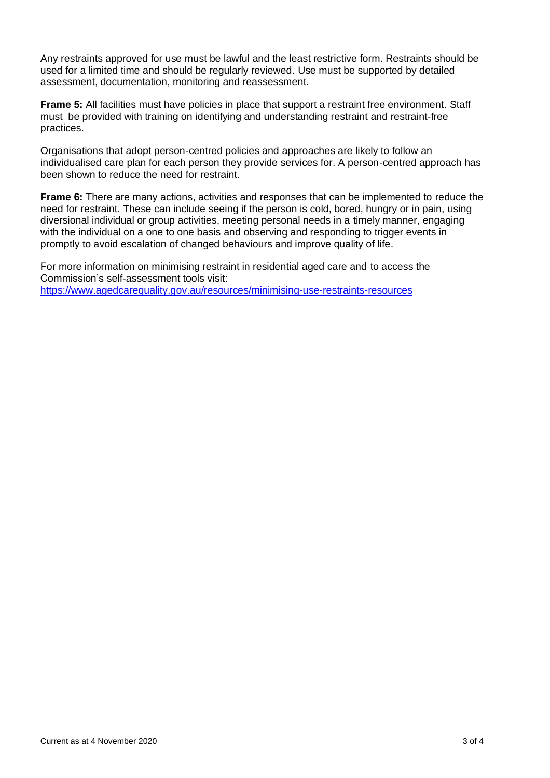Any restraints approved for use must be lawful and the least restrictive form. Restraints should be used for a limited time and should be regularly reviewed. Use must be supported by detailed assessment, documentation, monitoring and reassessment.

**Frame 5:** All facilities must have policies in place that support a restraint free environment. Staff must be provided with training on identifying and understanding restraint and restraint-free practices.

Organisations that adopt person-centred policies and approaches are likely to follow an individualised care plan for each person they provide services for. A person-centred approach has been shown to reduce the need for restraint.

**Frame 6:** There are many actions, activities and responses that can be implemented to reduce the need for restraint. These can include seeing if the person is cold, bored, hungry or in pain, using diversional individual or group activities, meeting personal needs in a timely manner, engaging with the individual on a one to one basis and observing and responding to trigger events in promptly to avoid escalation of changed behaviours and improve quality of life.

For more information on minimising restraint in residential aged care and to access the Commission's self-assessment tools visit: <https://www.agedcarequality.gov.au/resources/minimising-use-restraints-resources>